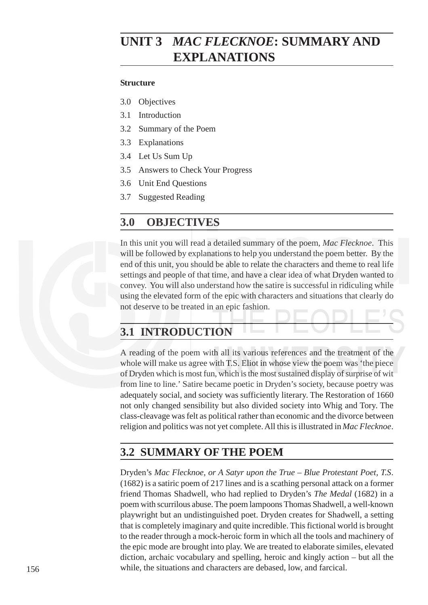# *FLECKNOE* **UNIT 3** *MAC FLECKNOE***: SUMMARY AND EXPLANATIONS**

#### **Structure**

- 3.0 Objectives
- 3.1 Introduction
- 3.2 Summary of the Poem
- 3.3 Explanations
- 3.4 Let Us Sum Up
- 3.5 Answers to Check Your Progress
- 3.6 Unit End Questions
- 3.7 Suggested Reading

#### **3.0 OBJECTIVES**

In this unit you will read a detailed summary of the poem, *Mac Flecknoe*. This will be followed by explanations to help you understand the poem better. By the end of this unit, you should be able to relate the characters and theme to real life settings and people of that time, and have a clear idea of what Dryden wanted to convey. You will also understand how the satire is successful in ridiculing while using the elevated form of the epic with characters and situations that clearly do not deserve to be treated in an epic fashion.

# **3.1 INTRODUCTION**

A reading of the poem with all its various references and the treatment of the whole will make us agree with T.S. Eliot in whose view the poem was 'the piece of Dryden which is most fun, which is the most sustained display of surprise of wit from line to line.' Satire became poetic in Dryden's society, because poetry was adequately social, and society was sufficiently literary. The Restoration of 1660 not only changed sensibility but also divided society into Whig and Tory. The class-cleavage was felt as political rather than economic and the divorce between religion and politics was not yet complete. All this is illustrated in *Mac Flecknoe*.

#### **3.2 SUMMARY OF THE POEM**

Dryden's *Mac Flecknoe, or A Satyr upon the True – Blue Protestant Poet, T.S*. (1682) is a satiric poem of 217 lines and is a scathing personal attack on a former friend Thomas Shadwell, who had replied to Dryden's *The Medal* (1682) in a poem with scurrilous abuse. The poem lampoons Thomas Shadwell, a well-known playwright but an undistinguished poet. Dryden creates for Shadwell, a setting that is completely imaginary and quite incredible. This fictional world is brought to the reader through a mock-heroic form in which all the tools and machinery of the epic mode are brought into play. We are treated to elaborate similes, elevated diction, archaic vocabulary and spelling, heroic and kingly action – but all the while, the situations and characters are debased, low, and farcical.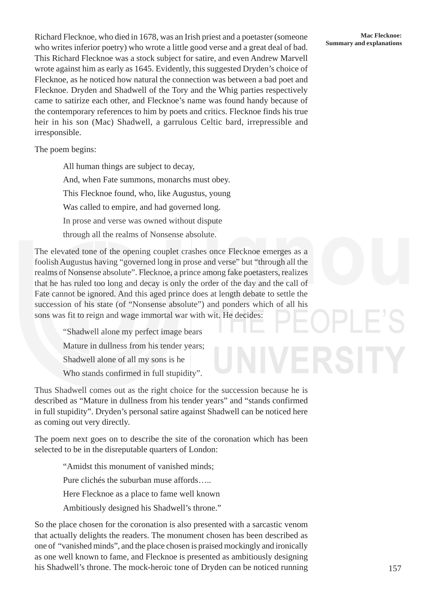Richard Flecknoe, who died in 1678, was an Irish priest and a poetaster (someone Mac Flecknoe:<br> **Summary and explanations** Summary and explanations who writes inferior poetry) who wrote a little good verse and a great deal of bad. This Richard Flecknoe was a stock subject for satire, and even Andrew Marvell wrote against him as early as 1645. Evidently, this suggested Dryden's choice of Flecknoe, as he noticed how natural the connection was between a bad poet and Flecknoe. Dryden and Shadwell of the Tory and the Whig parties respectively came to satirize each other, and Flecknoe's name was found handy because of the contemporary references to him by poets and critics. Flecknoe finds his true heir in his son (Mac) Shadwell, a garrulous Celtic bard, irrepressible and irresponsible.

The poem begins:

All human things are subject to decay, And, when Fate summons, monarchs must obey. This Flecknoe found, who, like Augustus, young Was called to empire, and had governed long. In prose and verse was owned without dispute through all the realms of Nonsense absolute.

The elevated tone of the opening couplet crashes once Flecknoe emerges as a foolish Augustus having "governed long in prose and verse" but "through all the realms of Nonsense absolute". Flecknoe, a prince among fake poetasters, realizes that he has ruled too long and decay is only the order of the day and the call of Fate cannot be ignored. And this aged prince does at length debate to settle the succession of his state (of "Nonsense absolute") and ponders which of all his sons was fit to reign and wage immortal war with wit. He decides:

> "Shadwell alone my perfect image bears Mature in dullness from his tender years; Shadwell alone of all my sons is he Who stands confirmed in full stupidity".

Thus Shadwell comes out as the right choice for the succession because he is described as "Mature in dullness from his tender years" and "stands confirmed in full stupidity". Dryden's personal satire against Shadwell can be noticed here as coming out very directly.

The poem next goes on to describe the site of the coronation which has been selected to be in the disreputable quarters of London:

> "Amidst this monument of vanished minds; Pure clichés the suburban muse affords….. Here Flecknoe as a place to fame well known Ambitiously designed his Shadwell's throne."

So the place chosen for the coronation is also presented with a sarcastic venom that actually delights the readers. The monument chosen has been described as one of "vanished minds", and the place chosen is praised mockingly and ironically as one well known to fame, and Flecknoe is presented as ambitiously designing his Shadwell's throne. The mock-heroic tone of Dryden can be noticed running

# **Mac Flecknoe:**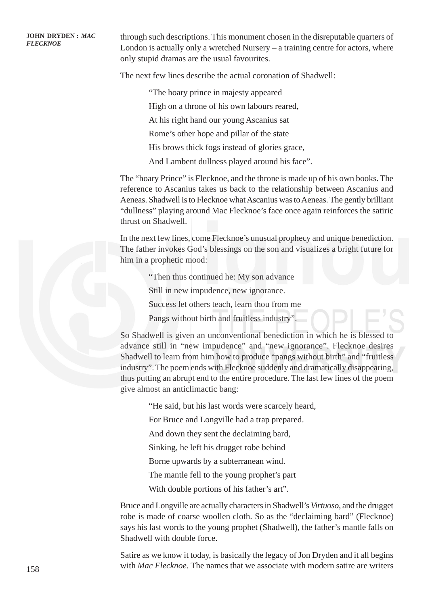**FLECKNOE** through such descriptions. This monument chosen in the disreputable quarters of London is actually only a wretched Nursery – a training centre for actors, where only stupid dramas are the usual favourites.

The next few lines describe the actual coronation of Shadwell:

"The hoary prince in majesty appeared

High on a throne of his own labours reared,

At his right hand our young Ascanius sat

Rome's other hope and pillar of the state

His brows thick fogs instead of glories grace,

And Lambent dullness played around his face".

The "hoary Prince" is Flecknoe, and the throne is made up of his own books. The reference to Ascanius takes us back to the relationship between Ascanius and Aeneas. Shadwell is to Flecknoe what Ascanius was to Aeneas. The gently brilliant "dullness" playing around Mac Flecknoe's face once again reinforces the satiric thrust on Shadwell.

In the next few lines, come Flecknoe's unusual prophecy and unique benediction. The father invokes God's blessings on the son and visualizes a bright future for him in a prophetic mood:

"Then thus continued he: My son advance

Still in new impudence, new ignorance.

Success let others teach, learn thou from me

Pangs without birth and fruitless industry".

So Shadwell is given an unconventional benediction in which he is blessed to advance still in "new impudence" and "new ignorance". Flecknoe desires Shadwell to learn from him how to produce "pangs without birth" and "fruitless industry". The poem ends with Flecknoe suddenly and dramatically disappearing, thus putting an abrupt end to the entire procedure. The last few lines of the poem give almost an anticlimactic bang:

"He said, but his last words were scarcely heard,

For Bruce and Longville had a trap prepared.

And down they sent the declaiming bard,

Sinking, he left his drugget robe behind

Borne upwards by a subterranean wind.

The mantle fell to the young prophet's part

With double portions of his father's art".

Bruce and Longville are actually characters in Shadwell's *Virtuoso*, and the drugget robe is made of coarse woollen cloth. So as the "declaiming bard" (Flecknoe) says his last words to the young prophet (Shadwell), the father's mantle falls on Shadwell with double force.

Satire as we know it today, is basically the legacy of Jon Dryden and it all begins with *Mac Flecknoe*. The names that we associate with modern satire are writers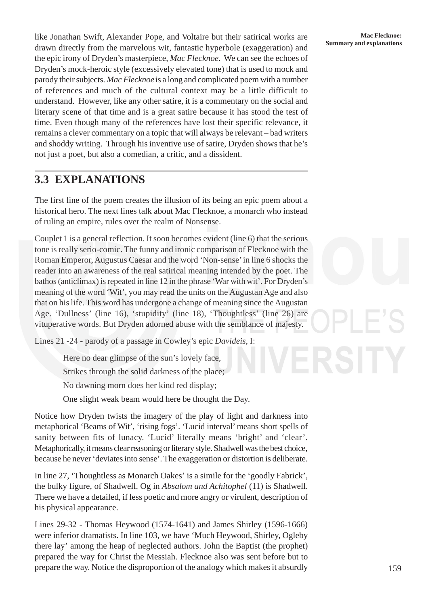**Summary and Swift, Alexander Pope, and Voltaire but their satirical works are Mac Flecknoe:**<br> **Summary and explanations** drawn directly from the marvelous wit, fantastic hyperbole (exaggeration) and the epic irony of Dryden's masterpiece, *Mac Flecknoe*. We can see the echoes of Dryden's mock-heroic style (excessively elevated tone) that is used to mock and parody their subjects. *Mac Flecknoe* is a long and complicated poem with a number of references and much of the cultural context may be a little difficult to understand. However, like any other satire, it is a commentary on the social and literary scene of that time and is a great satire because it has stood the test of time. Even though many of the references have lost their specific relevance, it remains a clever commentary on a topic that will always be relevant – bad writers and shoddy writing. Through his inventive use of satire, Dryden shows that he's not just a poet, but also a comedian, a critic, and a dissident.

## **3.3 EXPLANATIONS**

The first line of the poem creates the illusion of its being an epic poem about a historical hero. The next lines talk about Mac Flecknoe, a monarch who instead of ruling an empire, rules over the realm of Nonsense.

Couplet 1 is a general reflection. It soon becomes evident (line 6) that the serious tone is really serio-comic. The funny and ironic comparison of Flecknoe with the Roman Emperor, Augustus Caesar and the word 'Non-sense' in line 6 shocks the reader into an awareness of the real satirical meaning intended by the poet. The bathos (anticlimax) is repeated in line 12 in the phrase 'War with wit'. For Dryden's meaning of the word 'Wit', you may read the units on the Augustan Age and also that on his life. This word has undergone a change of meaning since the Augustan Age. 'Dullness' (line 16), 'stupidity' (line 18), 'Thoughtless' (line 26) are vituperative words. But Dryden adorned abuse with the semblance of majesty.

Lines 21 -24 - parody of a passage in Cowley's epic *Davideis*, I:

Here no dear glimpse of the sun's lovely face,

Strikes through the solid darkness of the place;

No dawning morn does her kind red display;

One slight weak beam would here be thought the Day.

Notice how Dryden twists the imagery of the play of light and darkness into metaphorical 'Beams of Wit', 'rising fogs'. 'Lucid interval' means short spells of sanity between fits of lunacy. 'Lucid' literally means 'bright' and 'clear'. Metaphorically, it means clear reasoning or literary style. Shadwell was the best choice, because he never 'deviates into sense'. The exaggeration or distortion is deliberate.

In line 27, 'Thoughtless as Monarch Oakes' is a simile for the 'goodly Fabrick', the bulky figure, of Shadwell. Og in *Absalom and Achitophel* (11) is Shadwell. There we have a detailed, if less poetic and more angry or virulent, description of his physical appearance.

Lines 29-32 - Thomas Heywood (1574-1641) and James Shirley (1596-1666) were inferior dramatists. In line 103, we have 'Much Heywood, Shirley, Ogleby there lay' among the heap of neglected authors. John the Baptist (the prophet) prepared the way for Christ the Messiah. Flecknoe also was sent before but to prepare the way. Notice the disproportion of the analogy which makes it absurdly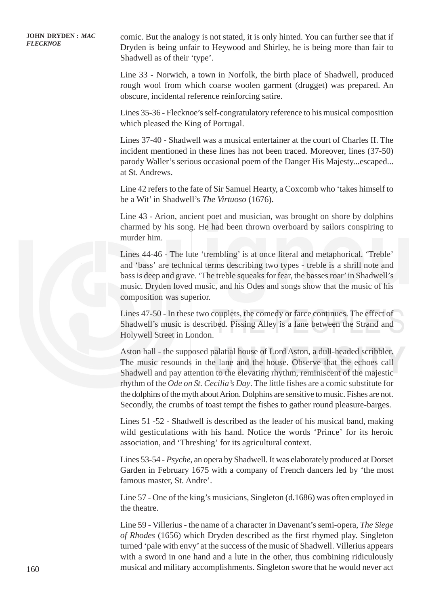**FLECKNOE** comic. But the analogy is not stated, it is only hinted. You can further see that if Dryden is being unfair to Heywood and Shirley, he is being more than fair to Shadwell as of their 'type'.

> Line 33 - Norwich, a town in Norfolk, the birth place of Shadwell, produced rough wool from which coarse woolen garment (drugget) was prepared. An obscure, incidental reference reinforcing satire.

> Lines 35-36 - Flecknoe's self-congratulatory reference to his musical composition which pleased the King of Portugal.

> Lines 37-40 - Shadwell was a musical entertainer at the court of Charles II. The incident mentioned in these lines has not been traced. Moreover, lines (37-50) parody Waller's serious occasional poem of the Danger His Majesty...escaped... at St. Andrews.

> Line 42 refers to the fate of Sir Samuel Hearty, a Coxcomb who 'takes himself to be a Wit' in Shadwell's *The Virtuoso* (1676).

> Line 43 - Arion, ancient poet and musician, was brought on shore by dolphins charmed by his song. He had been thrown overboard by sailors conspiring to murder him.

> Lines 44-46 - The lute 'trembling' is at once literal and metaphorical. 'Treble' and 'bass' are technical terms describing two types - treble is a shrill note and bass is deep and grave. 'The treble squeaks for fear, the basses roar' in Shadwell's music. Dryden loved music, and his Odes and songs show that the music of his composition was superior.

> Lines 47-50 - In these two couplets, the comedy or farce continues. The effect of Shadwell's music is described. Pissing Alley is a lane between the Strand and Holywell Street in London.

> Aston hall - the supposed palatial house of Lord Aston, a dull-headed scribbler. The music resounds in the lane and the house. Observe that the echoes call Shadwell and pay attention to the elevating rhythm, reminiscent of the majestic rhythm of the *Ode on St. Cecilia's Day*. The little fishes are a comic substitute for the dolphins of the myth about Arion. Dolphins are sensitive to music. Fishes are not. Secondly, the crumbs of toast tempt the fishes to gather round pleasure-barges.

> Lines 51 -52 - Shadwell is described as the leader of his musical band, making wild gesticulations with his hand. Notice the words 'Prince' for its heroic association, and 'Threshing' for its agricultural context.

> Lines 53-54 - *Psyche*, an opera by Shadwell. It was elaborately produced at Dorset Garden in February 1675 with a company of French dancers led by 'the most famous master, St. Andre'.

> Line 57 - One of the king's musicians, Singleton (d.1686) was often employed in the theatre.

> Line 59 - Villerius - the name of a character in Davenant's semi-opera, *The Siege of Rhodes* (1656) which Dryden described as the first rhymed play. Singleton turned 'pale with envy' at the success of the music of Shadwell. Villerius appears with a sword in one hand and a lute in the other, thus combining ridiculously musical and military accomplishments. Singleton swore that he would never act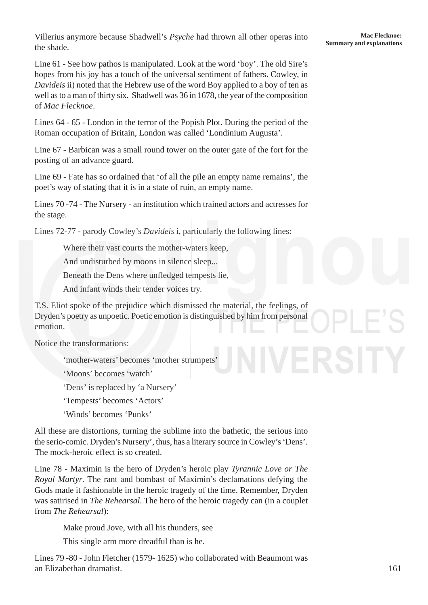**Sullerius anymore because Shadwell's** *Psyche* had thrown all other operas into **Summary and explanations**<br>**Summary and explanations** the shade.

Line 61 - See how pathos is manipulated. Look at the word 'boy'. The old Sire's hopes from his joy has a touch of the universal sentiment of fathers. Cowley, in *Davideis* ii) noted that the Hebrew use of the word Boy applied to a boy of ten as well as to a man of thirty six. Shadwell was 36 in 1678, the year of the composition of *Mac Flecknoe*.

Lines 64 - 65 - London in the terror of the Popish Plot. During the period of the Roman occupation of Britain, London was called 'Londinium Augusta'.

Line 67 - Barbican was a small round tower on the outer gate of the fort for the posting of an advance guard.

Line 69 - Fate has so ordained that 'of all the pile an empty name remains', the poet's way of stating that it is in a state of ruin, an empty name.

Lines 70 -74 - The Nursery - an institution which trained actors and actresses for the stage.

Lines 72-77 - parody Cowley's *Davideis* i, particularly the following lines:

Where their vast courts the mother-waters keep.

And undisturbed by moons in silence sleep...

Beneath the Dens where unfledged tempests lie,

And infant winds their tender voices try.

T.S. Eliot spoke of the prejudice which dismissed the material, the feelings, of Dryden's poetry as unpoetic. Poetic emotion is distinguished by him from personal emotion.

Notice the transformations:

'mother-waters' becomes 'mother strumpets'

'Moons' becomes 'watch'

'Dens' is replaced by 'a Nursery'

'Tempests' becomes 'Actors'

'Winds' becomes 'Punks'

All these are distortions, turning the sublime into the bathetic, the serious into the serio-comic. Dryden's Nursery', thus, has a literary source in Cowley's 'Dens'. The mock-heroic effect is so created.

Line 78 - Maximin is the hero of Dryden's heroic play *Tyrannic Love or The Royal Martyr*. The rant and bombast of Maximin's declamations defying the Gods made it fashionable in the heroic tragedy of the time. Remember, Dryden was satirised in *The Rehearsal*. The hero of the heroic tragedy can (in a couplet from *The Rehearsal*):

Make proud Jove, with all his thunders, see

This single arm more dreadful than is he.

Lines 79 -80 - John Fletcher (1579- 1625) who collaborated with Beaumont was an Elizabethan dramatist.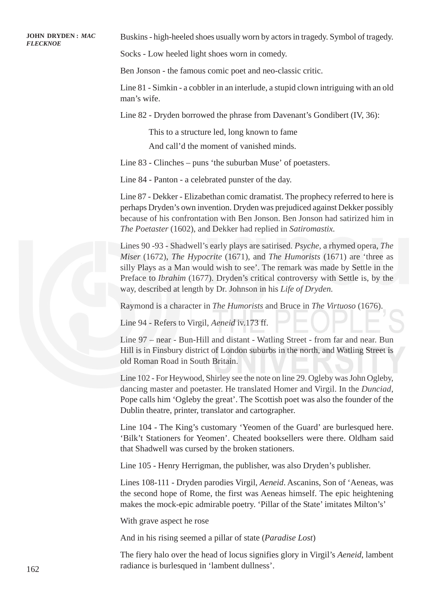**FULLY STATE:** MAC Buskins - high-heeled shoes usually worn by actors in tragedy. Symbol of tragedy. FULLY STATE:  $MAC$ 

Socks - Low heeled light shoes worn in comedy.

Ben Jonson - the famous comic poet and neo-classic critic.

Line 81 - Simkin - a cobbler in an interlude, a stupid clown intriguing with an old man's wife.

Line 82 - Dryden borrowed the phrase from Davenant's Gondibert (IV, 36):

This to a structure led, long known to fame And call'd the moment of vanished minds.

Line 83 - Clinches – puns 'the suburban Muse' of poetasters.

Line 84 - Panton - a celebrated punster of the day.

Line 87 - Dekker - Elizabethan comic dramatist. The prophecy referred to here is perhaps Dryden's own invention. Dryden was prejudiced against Dekker possibly because of his confrontation with Ben Jonson. Ben Jonson had satirized him in *The Poetaster* (1602), and Dekker had replied in *Satiromastix*.

Lines 90 -93 - Shadwell's early plays are satirised. *Psyche*, a rhymed opera, *The Miser* (1672), *The Hypocrite* (1671), and *The Humorists* (1671) are 'three as silly Plays as a Man would wish to see'. The remark was made by Settle in the Preface to *Ibrahim* (1677). Dryden's critical controversy with Settle is, by the way, described at length by Dr. Johnson in his *Life of Dryden*.

Raymond is a character in *The Humorists* and Bruce in *The Virtuoso* (1676).

Line 94 - Refers to Virgil, *Aeneid* iv.173 ff.

Line 97 – near - Bun-Hill and distant - Watling Street - from far and near. Bun Hill is in Finsbury district of London suburbs in the north, and Watling Street is old Roman Road in South Britain.

Line 102 - For Heywood, Shirley see the note on line 29. Ogleby was John Ogleby, dancing master and poetaster. He translated Homer and Virgil. In the *Dunciad*, Pope calls him 'Ogleby the great'. The Scottish poet was also the founder of the Dublin theatre, printer, translator and cartographer.

Line 104 - The King's customary 'Yeomen of the Guard' are burlesqued here. 'Bilk't Stationers for Yeomen'. Cheated booksellers were there. Oldham said that Shadwell was cursed by the broken stationers.

Line 105 - Henry Herrigman, the publisher, was also Dryden's publisher.

Lines 108-111 - Dryden parodies Virgil, *Aeneid*. Ascanins, Son of 'Aeneas, was the second hope of Rome, the first was Aeneas himself. The epic heightening makes the mock-epic admirable poetry. 'Pillar of the State' imitates Milton's'

With grave aspect he rose

And in his rising seemed a pillar of state (*Paradise Lost*)

The fiery halo over the head of locus signifies glory in Virgil's *Aeneid*, lambent radiance is burlesqued in 'lambent dullness'.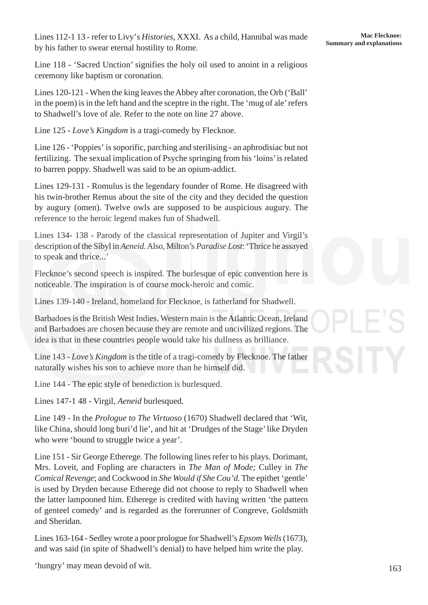Line 118 - 'Sacred Unction' signifies the holy oil used to anoint in a religious ceremony like baptism or coronation.

Lines 120-121 - When the king leaves the Abbey after coronation, the Orb ('Ball' in the poem) is in the left hand and the sceptre in the right. The 'mug of ale' refers to Shadwell's love of ale. Refer to the note on line 27 above.

Line 125 - *Love's Kingdom* is a tragi-comedy by Flecknoe.

Line 126 - 'Poppies' is soporific, parching and sterilising - an aphrodisiac but not fertilizing. The sexual implication of Psyche springing from his 'loins' is related to barren poppy. Shadwell was said to be an opium-addict.

Lines 129-131 - Romulus is the legendary founder of Rome. He disagreed with his twin-brother Remus about the site of the city and they decided the question by augury (omen). Twelve owls are supposed to be auspicious augury. The reference to the heroic legend makes fun of Shadwell.

Lines 134- 138 - Parody of the classical representation of Jupiter and Virgil's description of the Sibyl in *Aeneid*. Also, Milton's *Paradise Lost*: 'Thrice he assayed to speak and thrice...'

Flecknoe's second speech is inspired. The burlesque of epic convention here is noticeable. The inspiration is of course mock-heroic and comic.

Lines 139-140 - Ireland, homeland for Flecknoe, is fatherland for Shadwell.

Barbadoes is the British West Indies. Western main is the Atlantic Ocean. Ireland and Barbadoes are chosen because they are remote and uncivilized regions. The idea is that in these countries people would take his dullness as brilliance.

Line 143 - *Love's Kingdom* is the title of a tragi-comedy by Flecknoe. The father naturally wishes his son to achieve more than he himself did.

Line 144 - The epic style of benediction is burlesqued.

Lines 147-1 48 - Virgil, *Aeneid* burlesqued.

Line 149 - In the *Prologue to The Virtuoso* (1670) Shadwell declared that 'Wit, like China, should long buri'd lie', and hit at 'Drudges of the Stage' like Dryden who were 'bound to struggle twice a year'.

Line 151 - Sir George Etherege. The following lines refer to his plays. Dorimant, Mrs. Loveit, and Fopling are characters in *The Man of Mode;* Culley in *The Comical Revenge*; and Cockwood in *She Would if She Cou'd.* The epithet 'gentle' is used by Dryden because Etherege did not choose to reply to Shadwell when the latter lampooned him. Etherege is credited with having written 'the pattern of genteel comedy' and is regarded as the forerunner of Congreve, Goldsmith and Sheridan.

Lines 163-164 - Sedley wrote a poor prologue for Shadwell's *Epsom Wells* (1673), and was said (in spite of Shadwell's denial) to have helped him write the play.

'hungry' may mean devoid of wit.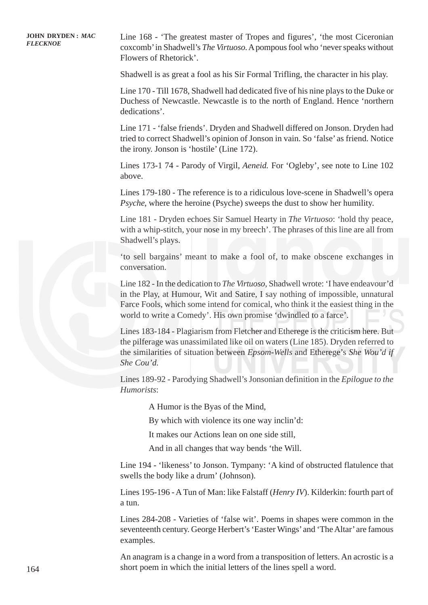**FLECKNOE** Line 168 - 'The greatest master of Tropes and figures', 'the most Ciceronian FLECKNOE coxcomb' in Shadwell's *The Virtuoso*. A pompous fool who 'never speaks without Flowers of Rhetorick'.

Shadwell is as great a fool as his Sir Formal Trifling, the character in his play.

Line 170 - Till 1678, Shadwell had dedicated five of his nine plays to the Duke or Duchess of Newcastle. Newcastle is to the north of England. Hence 'northern dedications'.

Line 171 - 'false friends'. Dryden and Shadwell differed on Jonson. Dryden had tried to correct Shadwell's opinion of Jonson in vain. So 'false' as friend. Notice the irony. Jonson is 'hostile' (Line 172).

Lines 173-1 74 - Parody of Virgil, *Aeneid.* For 'Ogleby', see note to Line 102 above.

Lines 179-180 - The reference is to a ridiculous love-scene in Shadwell's opera *Psyche*, where the heroine (Psyche) sweeps the dust to show her humility.

Line 181 - Dryden echoes Sir Samuel Hearty in *The Virtuoso*: 'hold thy peace, with a whip-stitch, your nose in my breech'. The phrases of this line are all from Shadwell's plays.

'to sell bargains' meant to make a fool of, to make obscene exchanges in conversation.

Line 182 - In the dedication to *The Virtuoso*, Shadwell wrote: 'I have endeavour'd in the Play, at Humour, Wit and Satire, I say nothing of impossible, unnatural Farce Fools, which some intend for comical, who think it the easiest thing in the world to write a Comedy'. His own promise 'dwindled to a farce'.

Lines 183-184 - Plagiarism from Fletcher and Etherege is the criticism here. But the pilferage was unassimilated like oil on waters (Line 185). Dryden referred to the similarities of situation between *Epsom-Wells* and Etherege's *She Wou'd if She Cou'd*.

Lines 189-92 - Parodying Shadwell's Jonsonian definition in the *Epilogue to the Humorists*:

A Humor is the Byas of the Mind,

By which with violence its one way inclin'd:

It makes our Actions lean on one side still,

And in all changes that way bends 'the Will.

Line 194 - 'likeness' to Jonson. Tympany: 'A kind of obstructed flatulence that swells the body like a drum' (Johnson).

Lines 195-196 - A Tun of Man: like Falstaff (*Henry IV*). Kilderkin: fourth part of a tun.

Lines 284-208 - Varieties of 'false wit'. Poems in shapes were common in the seventeenth century. George Herbert's 'Easter Wings' and 'The Altar' are famous examples.

An anagram is a change in a word from a transposition of letters. An acrostic is a short poem in which the initial letters of the lines spell a word.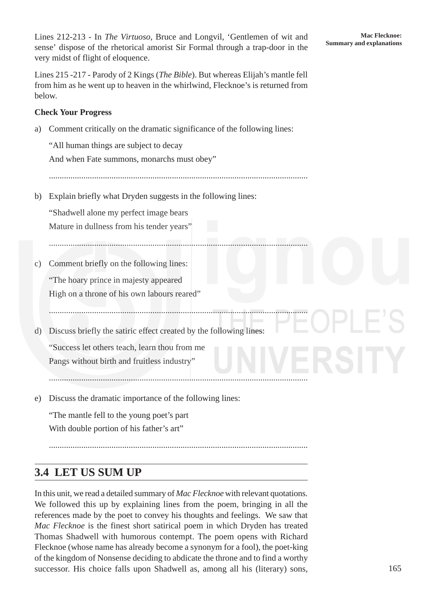Lines 212-213 - In *The Virtuoso*, Bruce and Longvil, 'Gentlemen of wit and sense' dispose of the rhetorical amorist Sir Formal through a trap-door in the very midst of flight of eloquence.

Lines 215 -217 - Parody of 2 Kings (*The Bible*). But whereas Elijah's mantle fell from him as he went up to heaven in the whirlwind, Flecknoe's is returned from below.

#### **Check Your Progress**

a) Comment critically on the dramatic significance of the following lines:

"All human things are subject to decay And when Fate summons, monarchs must obey"

........................................................................................................................

........................................................................................................................

........................................................................................................................

b) Explain briefly what Dryden suggests in the following lines:

"Shadwell alone my perfect image bears Mature in dullness from his tender years"

- c) Comment briefly on the following lines: "The hoary prince in majesty appeared High on a throne of his own labours reared"
- d) Discuss briefly the satiric effect created by the following lines: "Success let others teach, learn thou from me

Pangs without birth and fruitless industry"

e) Discuss the dramatic importance of the following lines:

"The mantle fell to the young poet's part With double portion of his father's art"

........................................................................................................................

........................................................................................................................

## **3.4 LET US SUM UP**

In this unit, we read a detailed summary of *Mac Flecknoe* with relevant quotations. We followed this up by explaining lines from the poem, bringing in all the references made by the poet to convey his thoughts and feelings. We saw that *Mac Flecknoe* is the finest short satirical poem in which Dryden has treated Thomas Shadwell with humorous contempt. The poem opens with Richard Flecknoe (whose name has already become a synonym for a fool), the poet-king of the kingdom of Nonsense deciding to abdicate the throne and to find a worthy successor. His choice falls upon Shadwell as, among all his (literary) sons,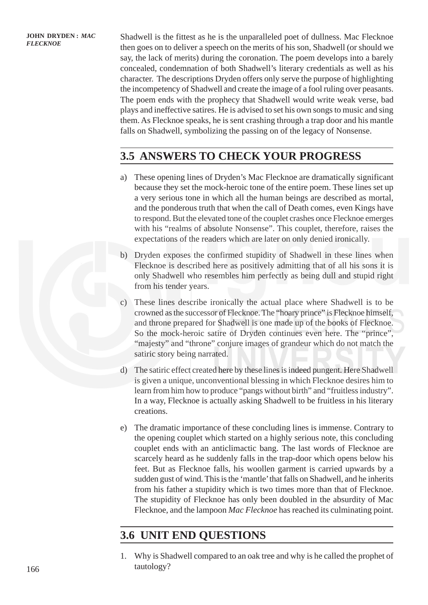**FLECKNOE** Shadwell is the fittest as he is the unparalleled poet of dullness. Mac Flecknoe FLECKNOE then goes on to deliver a speech on the merits of his son, Shadwell (or should we say, the lack of merits) during the coronation. The poem develops into a barely concealed, condemnation of both Shadwell's literary credentials as well as his character. The descriptions Dryden offers only serve the purpose of highlighting the incompetency of Shadwell and create the image of a fool ruling over peasants. The poem ends with the prophecy that Shadwell would write weak verse, bad plays and ineffective satires. He is advised to set his own songs to music and sing them. As Flecknoe speaks, he is sent crashing through a trap door and his mantle falls on Shadwell, symbolizing the passing on of the legacy of Nonsense.

# **3.5 ANSWERS TO CHECK YOUR PROGRESS**

- a) These opening lines of Dryden's Mac Flecknoe are dramatically significant because they set the mock-heroic tone of the entire poem. These lines set up a very serious tone in which all the human beings are described as mortal, and the ponderous truth that when the call of Death comes, even Kings have to respond. But the elevated tone of the couplet crashes once Flecknoe emerges with his "realms of absolute Nonsense". This couplet, therefore, raises the expectations of the readers which are later on only denied ironically.
- b) Dryden exposes the confirmed stupidity of Shadwell in these lines when Flecknoe is described here as positively admitting that of all his sons it is only Shadwell who resembles him perfectly as being dull and stupid right from his tender years.
- c) These lines describe ironically the actual place where Shadwell is to be crowned as the successor of Flecknoe. The "hoary prince" is Flecknoe himself, and throne prepared for Shadwell is one made up of the books of Flecknoe. So the mock-heroic satire of Dryden continues even here. The "prince", "majesty" and "throne" conjure images of grandeur which do not match the satiric story being narrated.
- d) The satiric effect created here by these lines is indeed pungent. Here Shadwell is given a unique, unconventional blessing in which Flecknoe desires him to learn from him how to produce "pangs without birth" and "fruitless industry". In a way, Flecknoe is actually asking Shadwell to be fruitless in his literary creations.
- e) The dramatic importance of these concluding lines is immense. Contrary to the opening couplet which started on a highly serious note, this concluding couplet ends with an anticlimactic bang. The last words of Flecknoe are scarcely heard as he suddenly falls in the trap-door which opens below his feet. But as Flecknoe falls, his woollen garment is carried upwards by a sudden gust of wind. This is the 'mantle' that falls on Shadwell, and he inherits from his father a stupidity which is two times more than that of Flecknoe. The stupidity of Flecknoe has only been doubled in the absurdity of Mac Flecknoe, and the lampoon *Mac Flecknoe* has reached its culminating point.

# **3.6 UNIT END QUESTIONS**

1. Why is Shadwell compared to an oak tree and why is he called the prophet of tautology?